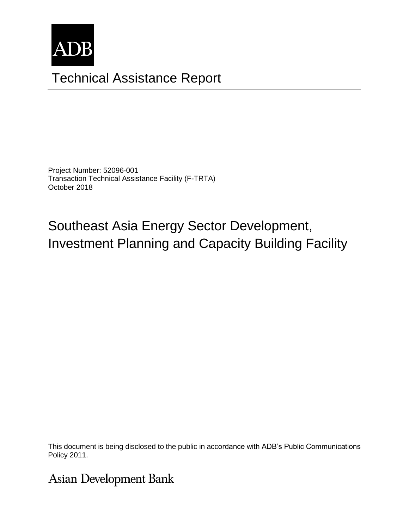

# Technical Assistance Report

Project Number: 52096-001 Transaction Technical Assistance Facility (F-TRTA) October 2018

Southeast Asia Energy Sector Development, Investment Planning and Capacity Building Facility

This document is being disclosed to the public in accordance with  $\Delta$ DB's Public Communications This document is being disclosed to the public in accordance with ADB's Public Communications.<br>Policy 2011 Policy 2011.

**Asian Development Bank**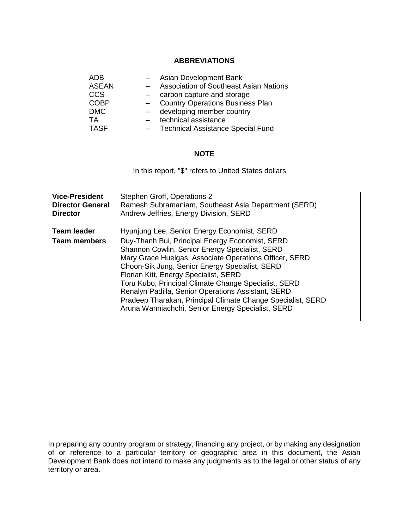#### **ABBREVIATIONS**

| <b>ADB</b>   |     | Asian Development Bank                        |
|--------------|-----|-----------------------------------------------|
| <b>ASEAN</b> |     | <b>Association of Southeast Asian Nations</b> |
| CCS          |     | carbon capture and storage                    |
| <b>COBP</b>  | $-$ | <b>Country Operations Business Plan</b>       |
| <b>DMC</b>   |     | developing member country                     |
| TA           |     | technical assistance                          |
| <b>TASF</b>  |     | <b>Technical Assistance Special Fund</b>      |

#### **NOTE**

In this report, "\$" refers to United States dollars.

| <b>Vice-President</b><br><b>Director General</b><br><b>Director</b> | Stephen Groff, Operations 2<br>Ramesh Subramaniam, Southeast Asia Department (SERD)<br>Andrew Jeffries, Energy Division, SERD                                                                                                                                                                                                                                                                                                                                                      |
|---------------------------------------------------------------------|------------------------------------------------------------------------------------------------------------------------------------------------------------------------------------------------------------------------------------------------------------------------------------------------------------------------------------------------------------------------------------------------------------------------------------------------------------------------------------|
| <b>Team leader</b><br><b>Team members</b>                           | Hyunjung Lee, Senior Energy Economist, SERD<br>Duy-Thanh Bui, Principal Energy Economist, SERD<br>Shannon Cowlin, Senior Energy Specialist, SERD<br>Mary Grace Huelgas, Associate Operations Officer, SERD<br>Choon-Sik Jung, Senior Energy Specialist, SERD<br>Florian Kitt, Energy Specialist, SERD<br>Toru Kubo, Principal Climate Change Specialist, SERD<br>Renalyn Padilla, Senior Operations Assistant, SERD<br>Pradeep Tharakan, Principal Climate Change Specialist, SERD |
|                                                                     | Aruna Wanniachchi, Senior Energy Specialist, SERD                                                                                                                                                                                                                                                                                                                                                                                                                                  |

In preparing any country program or strategy, financing any project, or by making any designation of or reference to a particular territory or geographic area in this document, the Asian Development Bank does not intend to make any judgments as to the legal or other status of any territory or area.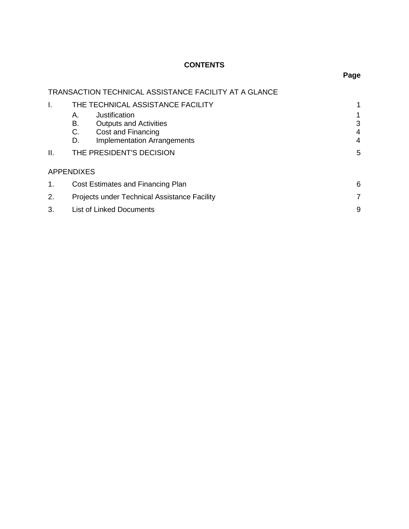### **CONTENTS**

|                | <b>TRANSACTION TECHNICAL ASSISTANCE FACILITY AT A GLANCE</b>                                                                       |                  |  |  |  |  |
|----------------|------------------------------------------------------------------------------------------------------------------------------------|------------------|--|--|--|--|
| I.             | THE TECHNICAL ASSISTANCE FACILITY                                                                                                  | 1                |  |  |  |  |
|                | Justification<br>А.<br>В.<br><b>Outputs and Activities</b><br>C.<br>Cost and Financing<br><b>Implementation Arrangements</b><br>D. | 1<br>3<br>4<br>4 |  |  |  |  |
| II.            | THE PRESIDENT'S DECISION                                                                                                           | 5                |  |  |  |  |
|                | <b>APPENDIXES</b>                                                                                                                  |                  |  |  |  |  |
| 1 <sub>1</sub> | Cost Estimates and Financing Plan                                                                                                  | 6                |  |  |  |  |
| 2.             | Projects under Technical Assistance Facility<br>7                                                                                  |                  |  |  |  |  |
| 3.             | <b>List of Linked Documents</b>                                                                                                    | 9                |  |  |  |  |

## **Page**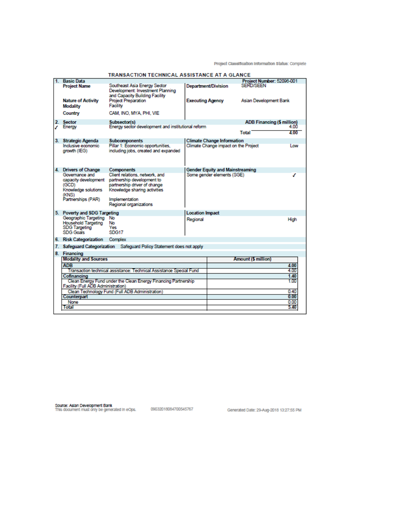Project Classification Information Status: Complete

| <b>Basic Data</b>                                                                                    |                                                                                                    |                         |                                        | Project Number: 52096-001         |              |
|------------------------------------------------------------------------------------------------------|----------------------------------------------------------------------------------------------------|-------------------------|----------------------------------------|-----------------------------------|--------------|
| <b>Project Name</b>                                                                                  | Southeast Asia Energy Sector<br>Development: Investment Planning<br>and Capacity Building Facility |                         | <b>Department/Division</b>             | <b>SERD/SEEN</b>                  |              |
| <b>Nature of Activity</b><br><b>Modality</b>                                                         | Project Preparation<br><b>Facility</b>                                                             | <b>Executing Agency</b> |                                        | Asian Development Bank            |              |
| Country                                                                                              | CAM, INO, MYA, PHI, VIE                                                                            |                         |                                        |                                   |              |
| 2. Sector                                                                                            | Subsector(s)                                                                                       |                         |                                        | <b>ADB Financing (\$ million)</b> |              |
| <b>Finergy</b>                                                                                       | Energy sector development and institutional reform                                                 |                         |                                        |                                   | 4.00         |
|                                                                                                      |                                                                                                    |                         |                                        | Total                             | 4.00         |
| 3. Strategic Agenda                                                                                  | <b>Subcomponents</b>                                                                               |                         | <b>Climate Change Information</b>      |                                   |              |
| Inclusive economic<br>growth (IEG)                                                                   | Pillar 1: Economic opportunities,<br>including jobs, created and expanded                          |                         | Climate Change impact on the Project   |                                   | Low          |
| 4. Drivers of Change                                                                                 | <b>Components</b>                                                                                  |                         | <b>Gender Equity and Mainstreaming</b> |                                   |              |
| Governance and                                                                                       | Client relations, network, and                                                                     |                         | Some gender elements (SGE)             |                                   |              |
|                                                                                                      | capacity development partnership development to                                                    |                         |                                        |                                   |              |
| (GCD)                                                                                                | partnership driver of change                                                                       |                         |                                        |                                   |              |
| Knowledge solutions                                                                                  | Knowledge sharing activities                                                                       |                         |                                        |                                   |              |
| (KNS)<br>Partnerships (PAR)                                                                          | Implementation                                                                                     |                         |                                        |                                   |              |
|                                                                                                      | Regional organizations                                                                             |                         |                                        |                                   |              |
|                                                                                                      |                                                                                                    |                         |                                        |                                   |              |
| 5. Poverty and SDG Targeting                                                                         |                                                                                                    | <b>Location Impact</b>  |                                        |                                   |              |
| Geographic Targeting No                                                                              |                                                                                                    | Regional                |                                        |                                   | High         |
| Household Targeting No                                                                               |                                                                                                    |                         |                                        |                                   |              |
| SDG Targeting<br>SDG Goals                                                                           | Yes.<br>SDG17                                                                                      |                         |                                        |                                   |              |
|                                                                                                      |                                                                                                    |                         |                                        |                                   |              |
| 6. Risk Categorization Complex                                                                       |                                                                                                    |                         |                                        |                                   |              |
|                                                                                                      | 7. Safeguard Categorization Safeguard Policy Statement does not apply                              |                         |                                        |                                   |              |
| 8. Financing                                                                                         |                                                                                                    |                         |                                        |                                   |              |
| <b>Modality and Sources</b>                                                                          |                                                                                                    |                         |                                        | <b>Amount (\$ million)</b>        |              |
| <b>ADB</b>                                                                                           |                                                                                                    |                         |                                        |                                   | 4.00         |
|                                                                                                      | Transaction technical assistance: Technical Assistance Special Fund                                |                         |                                        |                                   | 4.00         |
| Cofinancing                                                                                          |                                                                                                    |                         |                                        |                                   | 1.40<br>1.00 |
| Clean Energy Fund under the Clean Energy Financing Partnership<br>Facility (Full ADB Administration) |                                                                                                    |                         |                                        |                                   |              |
|                                                                                                      | Clean Technology Fund (Full ADB Administration)                                                    |                         |                                        |                                   | 0.40         |
| Counterpart                                                                                          |                                                                                                    |                         |                                        |                                   | 0.00         |
| None                                                                                                 |                                                                                                    |                         |                                        |                                   | 0.00         |
| Total                                                                                                |                                                                                                    |                         |                                        |                                   | 5.40         |
|                                                                                                      |                                                                                                    |                         |                                        |                                   |              |

#### **TRANSACTION TECHNICAL ASSISTANCE AT A GLANCE**

Source: Asian Development Bank<br>This document must only be generated in eOps. [19032018084700545767 [1915] Generated Date: 29-Aug-2018 13:27:55 PM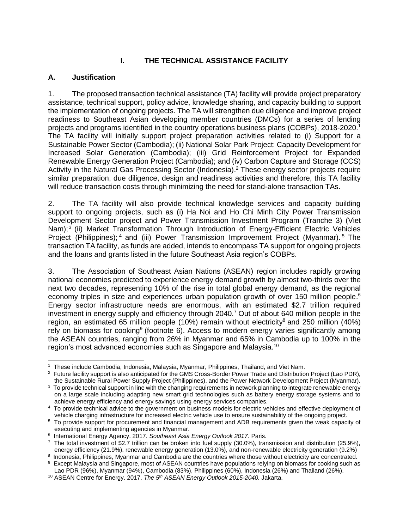#### **I. THE TECHNICAL ASSISTANCE FACILITY**

#### **A. Justification**

1. The proposed transaction technical assistance (TA) facility will provide project preparatory assistance, technical support, policy advice, knowledge sharing, and capacity building to support the implementation of ongoing projects. The TA will strengthen due diligence and improve project readiness to Southeast Asian developing member countries (DMCs) for a series of lending projects and programs identified in the country operations business plans (COBPs), 2018-2020. 1 The TA facility will initially support project preparation activities related to (i) Support for a Sustainable Power Sector (Cambodia); (ii) National Solar Park Project: Capacity Development for Increased Solar Generation (Cambodia); (iii) Grid Reinforcement Project for Expanded Renewable Energy Generation Project (Cambodia); and (iv) Carbon Capture and Storage (CCS) Activity in the Natural Gas Processing Sector (Indonesia).<sup>2</sup> These energy sector projects require similar preparation, due diligence, design and readiness activities and therefore, this TA facility will reduce transaction costs through minimizing the need for stand-alone transaction TAs.

2. The TA facility will also provide technical knowledge services and capacity building support to ongoing projects, such as (i) Ha Noi and Ho Chi Minh City Power Transmission Development Sector project and Power Transmission Investment Program (Tranche 3) (Viet Nam);<sup>3</sup> (ii) Market Transformation Through Introduction of Energy-Efficient Electric Vehicles Project (Philippines);<sup>4</sup> and (iii) Power Transmission Improvement Project (Myanmar).<sup>5</sup> The transaction TA facility, as funds are added, intends to encompass TA support for ongoing projects and the loans and grants listed in the future Southeast Asia region's COBPs.

3. The Association of Southeast Asian Nations (ASEAN) region includes rapidly growing national economies predicted to experience energy demand growth by almost two-thirds over the next two decades, representing 10% of the rise in total global energy demand, as the regional economy triples in size and experiences urban population growth of over 150 million people.<sup>6</sup> Energy sector infrastructure needs are enormous, with an estimated \$2.7 trillion required investment in energy supply and efficiency through 2040.<sup>7</sup> Out of about 640 million people in the region, an estimated 65 million people (10%) remain without electricity<sup>8</sup> and 250 million (40%) rely on biomass for cooking<sup>9</sup> (footnote 6). Access to modern energy varies significantly among the ASEAN countries, ranging from 26% in Myanmar and 65% in Cambodia up to 100% in the region's most advanced economies such as Singapore and Malaysia.<sup>10</sup>

 $\overline{a}$ 1 These include Cambodia, Indonesia, Malaysia, Myanmar, Philippines, Thailand, and Viet Nam.

<sup>&</sup>lt;sup>2</sup> Future facility support is also anticipated for the GMS Cross-Border Power Trade and Distribution Project (Lao PDR), the Sustainable Rural Power Supply Project (Philippines), and the Power Network Development Project (Myanmar).

 $3$  To provide technical support in line with the changing requirements in network planning to integrate renewable energy on a large scale including adapting new smart grid technologies such as battery energy storage systems and to achieve energy efficiency and energy savings using energy services companies.

<sup>&</sup>lt;sup>4</sup> To provide technical advice to the government on business models for electric vehicles and effective deployment of vehicle charging infrastructure for increased electric vehicle use to ensure sustainability of the ongoing project.

<sup>5</sup> To provide support for procurement and financial management and ADB requirements given the weak capacity of executing and implementing agencies in Myanmar.

<sup>6</sup> International Energy Agency. 2017. *Southeast Asia Energy Outlook 2017*. Paris.

 $^7$  The total investment of \$2.7 trillion can be broken into fuel supply (30.0%), transmission and distribution (25.9%), energy efficiency (21.9%), renewable energy generation (13.0%), and non-renewable electricity generation (9.2%)

<sup>&</sup>lt;sup>8</sup> Indonesia, Philippines, Myanmar and Cambodia are the countries where those without electricity are concentrated. <sup>9</sup> Except Malaysia and Singapore, most of ASEAN countries have populations relying on biomass for cooking such as

Lao PDR (96%), Myanmar (94%), Cambodia (83%), Philippines (60%), Indonesia (26%) and Thailand (26%). <sup>10</sup> ASEAN Centre for Energy. 2017. *The 5th ASEAN Energy Outlook 2015-2040.* Jakarta.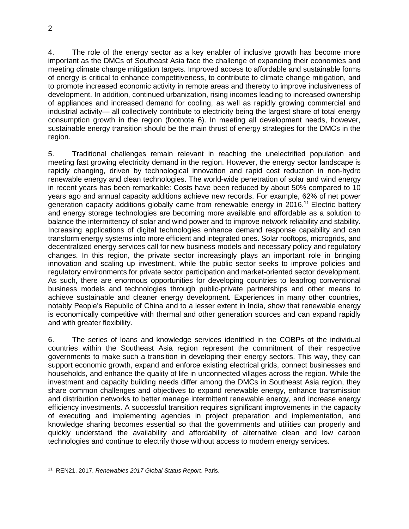4. The role of the energy sector as a key enabler of inclusive growth has become more important as the DMCs of Southeast Asia face the challenge of expanding their economies and meeting climate change mitigation targets. Improved access to affordable and sustainable forms of energy is critical to enhance competitiveness, to contribute to climate change mitigation, and to promote increased economic activity in remote areas and thereby to improve inclusiveness of development. In addition, continued urbanization, rising incomes leading to increased ownership of appliances and increased demand for cooling, as well as rapidly growing commercial and industrial activity— all collectively contribute to electricity being the largest share of total energy consumption growth in the region (footnote 6). In meeting all development needs, however, sustainable energy transition should be the main thrust of energy strategies for the DMCs in the region.

5. Traditional challenges remain relevant in reaching the unelectrified population and meeting fast growing electricity demand in the region. However, the energy sector landscape is rapidly changing, driven by technological innovation and rapid cost reduction in non-hydro renewable energy and clean technologies. The world-wide penetration of solar and wind energy in recent years has been remarkable: Costs have been reduced by about 50% compared to 10 years ago and annual capacity additions achieve new records. For example, 62% of net power generation capacity additions globally came from renewable energy in 2016.<sup>11</sup> Electric battery and energy storage technologies are becoming more available and affordable as a solution to balance the intermittency of solar and wind power and to improve network reliability and stability. Increasing applications of digital technologies enhance demand response capability and can transform energy systems into more efficient and integrated ones. Solar rooftops, microgrids, and decentralized energy services call for new business models and necessary policy and regulatory changes. In this region, the private sector increasingly plays an important role in bringing innovation and scaling up investment, while the public sector seeks to improve policies and regulatory environments for private sector participation and market-oriented sector development. As such, there are enormous opportunities for developing countries to leapfrog conventional business models and technologies through public-private partnerships and other means to achieve sustainable and cleaner energy development. Experiences in many other countries, notably People's Republic of China and to a lesser extent in India, show that renewable energy is economically competitive with thermal and other generation sources and can expand rapidly and with greater flexibility.

6. The series of loans and knowledge services identified in the COBPs of the individual countries within the Southeast Asia region represent the commitment of their respective governments to make such a transition in developing their energy sectors. This way, they can support economic growth, expand and enforce existing electrical grids, connect businesses and households, and enhance the quality of life in unconnected villages across the region. While the investment and capacity building needs differ among the DMCs in Southeast Asia region, they share common challenges and objectives to expand renewable energy, enhance transmission and distribution networks to better manage intermittent renewable energy, and increase energy efficiency investments. A successful transition requires significant improvements in the capacity of executing and implementing agencies in project preparation and implementation, and knowledge sharing becomes essential so that the governments and utilities can properly and quickly understand the availability and affordability of alternative clean and low carbon technologies and continue to electrify those without access to modern energy services.

 $\overline{a}$ <sup>11</sup> REN21. 2017. *Renewables 2017 Global Status Report*. Paris.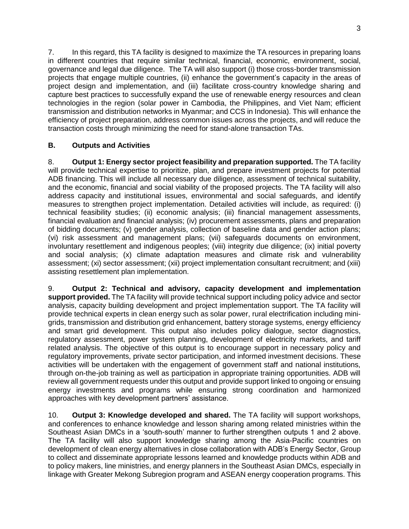7. In this regard, this TA facility is designed to maximize the TA resources in preparing loans in different countries that require similar technical, financial, economic, environment, social, governance and legal due diligence. The TA will also support (i) those cross-border transmission projects that engage multiple countries, (ii) enhance the government's capacity in the areas of project design and implementation, and (iii) facilitate cross-country knowledge sharing and capture best practices to successfully expand the use of renewable energy resources and clean technologies in the region (solar power in Cambodia, the Philippines, and Viet Nam; efficient transmission and distribution networks in Myanmar; and CCS in Indonesia). This will enhance the efficiency of project preparation, address common issues across the projects, and will reduce the transaction costs through minimizing the need for stand-alone transaction TAs.

#### **B. Outputs and Activities**

8. **Output 1: Energy sector project feasibility and preparation supported.** The TA facility will provide technical expertise to prioritize, plan, and prepare investment projects for potential ADB financing. This will include all necessary due diligence, assessment of technical suitability, and the economic, financial and social viability of the proposed projects. The TA facility will also address capacity and institutional issues, environmental and social safeguards, and identify measures to strengthen project implementation. Detailed activities will include, as required: (i) technical feasibility studies; (ii) economic analysis; (iii) financial management assessments, financial evaluation and financial analysis; (iv) procurement assessments, plans and preparation of bidding documents; (v) gender analysis, collection of baseline data and gender action plans; (vi) risk assessment and management plans; (vii) safeguards documents on environment, involuntary resettlement and indigenous peoples; (viii) integrity due diligence; (ix) initial poverty and social analysis; (x) climate adaptation measures and climate risk and vulnerability assessment; (xi) sector assessment; (xii) project implementation consultant recruitment; and (xiii) assisting resettlement plan implementation.

9. **Output 2: Technical and advisory, capacity development and implementation support provided.** The TA facility will provide technical support including policy advice and sector analysis, capacity building development and project implementation support. The TA facility will provide technical experts in clean energy such as solar power, rural electrification including minigrids, transmission and distribution grid enhancement, battery storage systems, energy efficiency and smart grid development. This output also includes policy dialogue, sector diagnostics, regulatory assessment, power system planning, development of electricity markets, and tariff related analysis. The objective of this output is to encourage support in necessary policy and regulatory improvements, private sector participation, and informed investment decisions. These activities will be undertaken with the engagement of government staff and national institutions, through on-the-job training as well as participation in appropriate training opportunities. ADB will review all government requests under this output and provide support linked to ongoing or ensuing energy investments and programs while ensuring strong coordination and harmonized approaches with key development partners' assistance.

10. **Output 3: Knowledge developed and shared.** The TA facility will support workshops, and conferences to enhance knowledge and lesson sharing among related ministries within the Southeast Asian DMCs in a 'south-south' manner to further strengthen outputs 1 and 2 above. The TA facility will also support knowledge sharing among the Asia-Pacific countries on development of clean energy alternatives in close collaboration with ADB's Energy Sector, Group to collect and disseminate appropriate lessons learned and knowledge products within ADB and to policy makers, line ministries, and energy planners in the Southeast Asian DMCs, especially in linkage with Greater Mekong Subregion program and ASEAN energy cooperation programs. This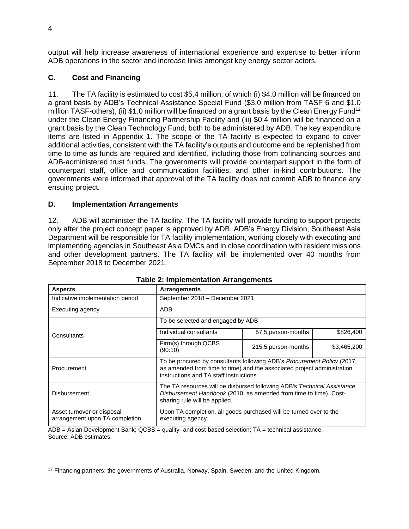output will help increase awareness of international experience and expertise to better inform ADB operations in the sector and increase links amongst key energy sector actors.

#### **C. Cost and Financing**

11. The TA facility is estimated to cost \$5.4 million, of which (i) \$4.0 million will be financed on a grant basis by ADB's Technical Assistance Special Fund (\$3.0 million from TASF 6 and \$1.0 million TASF-others), (ii) \$1.0 million will be financed on a grant basis by the Clean Energy Fund<sup>12</sup> under the Clean Energy Financing Partnership Facility and (iii) \$0.4 million will be financed on a grant basis by the Clean Technology Fund, both to be administered by ADB. The key expenditure items are listed in Appendix 1. The scope of the TA facility is expected to expand to cover additional activities, consistent with the TA facility's outputs and outcome and be replenished from time to time as funds are required and identified, including those from cofinancing sources and ADB-administered trust funds. The governments will provide counterpart support in the form of counterpart staff, office and communication facilities, and other in-kind contributions. The governments were informed that approval of the TA facility does not commit ADB to finance any ensuing project.

#### **D. Implementation Arrangements**

12. ADB will administer the TA facility. The TA facility will provide funding to support projects only after the project concept paper is approved by ADB. ADB's Energy Division, Southeast Asia Department will be responsible for TA facility implementation, working closely with executing and implementing agencies in Southeast Asia DMCs and in close coordination with resident missions and other development partners. The TA facility will be implemented over 40 months from September 2018 to December 2021.

| <b>Aspects</b>                                               | Arrangements                                                                                                                                                                                  |                                |             |  |  |  |  |
|--------------------------------------------------------------|-----------------------------------------------------------------------------------------------------------------------------------------------------------------------------------------------|--------------------------------|-------------|--|--|--|--|
| Indicative implementation period                             |                                                                                                                                                                                               | September 2018 - December 2021 |             |  |  |  |  |
| Executing agency                                             | <b>ADB</b>                                                                                                                                                                                    |                                |             |  |  |  |  |
|                                                              | To be selected and engaged by ADB                                                                                                                                                             |                                |             |  |  |  |  |
| Consultants                                                  | Individual consultants                                                                                                                                                                        | 57.5 person-months             | \$826,400   |  |  |  |  |
|                                                              | Firm(s) through QCBS<br>(90:10)                                                                                                                                                               | 215.5 person-months            | \$3,465,200 |  |  |  |  |
| Procurement                                                  | To be procured by consultants following ADB's Procurement Policy (2017,<br>as amended from time to time) and the associated project administration<br>instructions and TA staff instructions. |                                |             |  |  |  |  |
| <b>Disbursement</b>                                          | The TA resources will be disbursed following ADB's Technical Assistance<br>Disbursement Handbook (2010, as amended from time to time). Cost-<br>sharing rule will be applied.                 |                                |             |  |  |  |  |
| Asset turnover or disposal<br>arrangement upon TA completion | Upon TA completion, all goods purchased will be turned over to the<br>executing agency.                                                                                                       |                                |             |  |  |  |  |

|  | <b>Table 2: Implementation Arrangements</b> |  |
|--|---------------------------------------------|--|
|  |                                             |  |

ADB = Asian Development Bank; QCBS = quality- and cost-based selection; TA = technical assistance. Source: ADB estimates.

 $\overline{a}$ 

 $12$  Financing partners: the governments of Australia, Norway, Spain, Sweden, and the United Kingdom.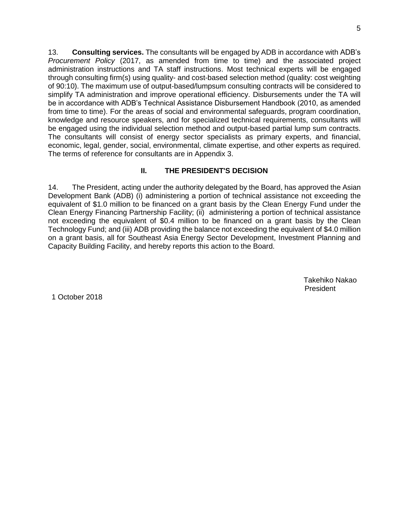13. **Consulting services.** The consultants will be engaged by ADB in accordance with ADB's *Procurement Policy* (2017, as amended from time to time) and the associated project administration instructions and TA staff instructions. Most technical experts will be engaged through consulting firm(s) using quality- and cost-based selection method (quality: cost weighting of 90:10). The maximum use of output-based/lumpsum consulting contracts will be considered to simplify TA administration and improve operational efficiency. Disbursements under the TA will be in accordance with ADB's Technical Assistance Disbursement Handbook (2010, as amended from time to time). For the areas of social and environmental safeguards, program coordination, knowledge and resource speakers, and for specialized technical requirements, consultants will be engaged using the individual selection method and output-based partial lump sum contracts. The consultants will consist of energy sector specialists as primary experts, and financial, economic, legal, gender, social, environmental, climate expertise, and other experts as required. The terms of reference for consultants are in Appendix 3.

#### **II. THE PRESIDENT'S DECISION**

14. The President, acting under the authority delegated by the Board, has approved the Asian Development Bank (ADB) (i) administering a portion of technical assistance not exceeding the equivalent of \$1.0 million to be financed on a grant basis by the Clean Energy Fund under the Clean Energy Financing Partnership Facility; (ii) administering a portion of technical assistance not exceeding the equivalent of \$0.4 million to be financed on a grant basis by the Clean Technology Fund; and (iii) ADB providing the balance not exceeding the equivalent of \$4.0 million on a grant basis, all for Southeast Asia Energy Sector Development, Investment Planning and Capacity Building Facility, and hereby reports this action to the Board.

> Takehiko Nakao President

1 October 2018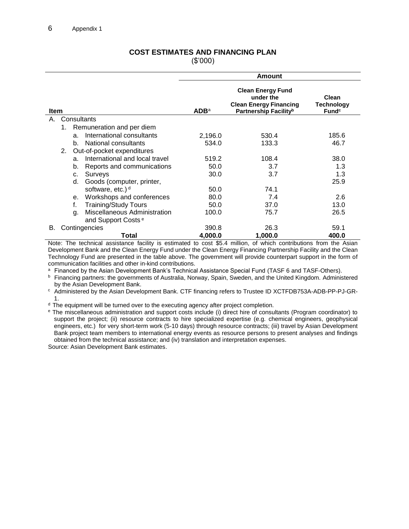#### **COST ESTIMATES AND FINANCING PLAN** (\$'000)

|      |    |                |                                     | Amount           |                                                                                                             |                                          |  |  |
|------|----|----------------|-------------------------------------|------------------|-------------------------------------------------------------------------------------------------------------|------------------------------------------|--|--|
| Item |    |                |                                     | ADB <sup>a</sup> | <b>Clean Energy Fund</b><br>under the<br><b>Clean Energy Financing</b><br>Partnership Facility <sup>b</sup> | Clean<br>Technology<br>Fund <sup>c</sup> |  |  |
| Α.   |    |                | Consultants                         |                  |                                                                                                             |                                          |  |  |
|      | 1. |                | Remuneration and per diem           |                  |                                                                                                             |                                          |  |  |
|      |    | a.             | International consultants           | 2,196.0          | 530.4                                                                                                       | 185.6                                    |  |  |
|      |    | b.             | National consultants                | 534.0            | 133.3                                                                                                       | 46.7                                     |  |  |
|      | 2. |                | Out-of-pocket expenditures          |                  |                                                                                                             |                                          |  |  |
|      |    | a <sub>z</sub> | International and local travel      | 519.2            | 108.4                                                                                                       | 38.0                                     |  |  |
|      |    | b.             | Reports and communications          | 50.0             | 3.7                                                                                                         | 1.3                                      |  |  |
|      |    | c.             | Surveys                             | 30.0             | 3.7                                                                                                         | 1.3                                      |  |  |
|      |    | d.             | Goods (computer, printer,           |                  |                                                                                                             | 25.9                                     |  |  |
|      |    |                | software, etc.) <sup>d</sup>        | 50.0             | 74.1                                                                                                        |                                          |  |  |
|      |    | е.             | Workshops and conferences           | 80.0             | 7.4                                                                                                         | 2.6                                      |  |  |
|      |    | f.             | <b>Training/Study Tours</b>         | 50.0             | 37.0                                                                                                        | 13.0                                     |  |  |
|      |    | q.             | <b>Miscellaneous Administration</b> | 100.0            | 75.7                                                                                                        | 26.5                                     |  |  |
|      |    |                | and Support Costs <sup>e</sup>      |                  |                                                                                                             |                                          |  |  |
| В.   |    |                | Contingencies                       | 390.8            | 26.3                                                                                                        | 59.1                                     |  |  |
|      |    |                | Total                               | 4,000.0          | 1,000.0                                                                                                     | 400.0                                    |  |  |

Note: The technical assistance facility is estimated to cost \$5.4 million, of which contributions from the Asian Development Bank and the Clean Energy Fund under the Clean Energy Financing Partnership Facility and the Clean Technology Fund are presented in the table above. The government will provide counterpart support in the form of communication facilities and other in-kind contributions.

a Financed by the Asian Development Bank's Technical Assistance Special Fund (TASF 6 and TASF-Others).

<sup>b</sup> Financing partners: the governments of Australia, Norway, Spain, Sweden, and the United Kingdom. Administered by the Asian Development Bank.

<sup>c</sup> Administered by the Asian Development Bank. CTF financing refers to Trustee ID XCTFDB753A-ADB-PP-PJ-GR-1.

<sup>d</sup> The equipment will be turned over to the executing agency after project completion.

<sup>e</sup> The miscellaneous administration and support costs include (i) direct hire of consultants (Program coordinator) to support the project; (ii) resource contracts to hire specialized expertise (e.g. chemical engineers, geophysical engineers, etc.) for very short-term work (5-10 days) through resource contracts; (iii) travel by Asian Development Bank project team members to international energy events as resource persons to present analyses and findings obtained from the technical assistance; and (iv) translation and interpretation expenses. Source: Asian Development Bank estimates.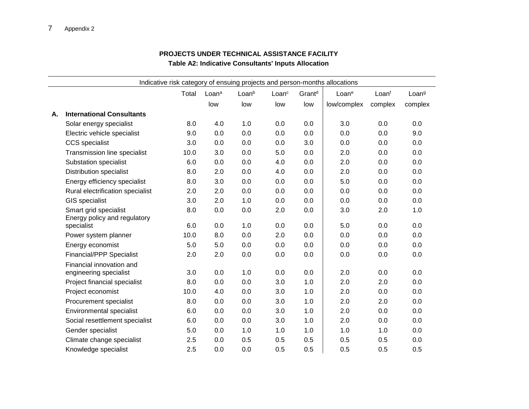#### **PROJECTS UNDER TECHNICAL ASSISTANCE FACILITY Table A2: Indicative Consultants' Inputs Allocation**

|    |                                                       | Total | Loan <sup>a</sup> | Loanb | Loan <sup>c</sup> | Grant <sup>d</sup> | Indicative risk category of ensuing projects and person-months allocations<br>Loane | Loanf   | Loan <sup>g</sup> |
|----|-------------------------------------------------------|-------|-------------------|-------|-------------------|--------------------|-------------------------------------------------------------------------------------|---------|-------------------|
|    |                                                       |       | low               | low   | low               | low                | low/complex                                                                         | complex | complex           |
| А. | <b>International Consultants</b>                      |       |                   |       |                   |                    |                                                                                     |         |                   |
|    | Solar energy specialist                               | 8.0   | 4.0               | 1.0   | 0.0               | 0.0                | 3.0                                                                                 | 0.0     | 0.0               |
|    |                                                       |       | 0.0               |       | 0.0               | 0.0                | 0.0                                                                                 | 0.0     | 9.0               |
|    | Electric vehicle specialist                           | 9.0   |                   | 0.0   |                   |                    |                                                                                     |         | 0.0               |
|    | <b>CCS</b> specialist                                 | 3.0   | 0.0               | 0.0   | 0.0               | 3.0                | 0.0                                                                                 | 0.0     |                   |
|    | Transmission line specialist                          | 10.0  | 3.0               | 0.0   | 5.0               | 0.0                | 2.0                                                                                 | 0.0     | 0.0               |
|    | <b>Substation specialist</b>                          | 6.0   | 0.0               | 0.0   | 4.0               | 0.0                | 2.0                                                                                 | 0.0     | 0.0               |
|    | <b>Distribution specialist</b>                        | 8.0   | 2.0               | 0.0   | 4.0               | 0.0                | 2.0                                                                                 | 0.0     | 0.0               |
|    | Energy efficiency specialist                          | 8.0   | 3.0               | 0.0   | 0.0               | 0.0                | 5.0                                                                                 | 0.0     | 0.0               |
|    | Rural electrification specialist                      | 2.0   | 2.0               | 0.0   | 0.0               | 0.0                | 0.0                                                                                 | 0.0     | 0.0               |
|    | <b>GIS</b> specialist                                 | 3.0   | 2.0               | 1.0   | 0.0               | 0.0                | 0.0                                                                                 | 0.0     | 0.0               |
|    | Smart grid specialist<br>Energy policy and regulatory | 8.0   | 0.0               | 0.0   | 2.0               | 0.0                | 3.0                                                                                 | 2.0     | 1.0               |
|    | specialist                                            | 6.0   | 0.0               | 1.0   | 0.0               | 0.0                | 5.0                                                                                 | 0.0     | 0.0               |
|    | Power system planner                                  | 10.0  | 8.0               | 0.0   | 2.0               | 0.0                | 0.0                                                                                 | 0.0     | 0.0               |
|    | Energy economist                                      | 5.0   | 5.0               | 0.0   | 0.0               | 0.0                | 0.0                                                                                 | 0.0     | 0.0               |
|    | <b>Financial/PPP Specialist</b>                       | 2.0   | 2.0               | 0.0   | 0.0               | 0.0                | 0.0                                                                                 | 0.0     | 0.0               |
|    | Financial innovation and<br>engineering specialist    | 3.0   | 0.0               | 1.0   | 0.0               | 0.0                | 2.0                                                                                 | 0.0     | 0.0               |
|    | Project financial specialist                          | 8.0   | 0.0               | 0.0   | 3.0               | 1.0                | 2.0                                                                                 | 2.0     | 0.0               |
|    | Project economist                                     | 10.0  | 4.0               | 0.0   | 3.0               | 1.0                | 2.0                                                                                 | 0.0     | 0.0               |
|    | Procurement specialist                                | 8.0   | 0.0               | 0.0   | 3.0               | 1.0                | 2.0                                                                                 | 2.0     | 0.0               |
|    | Environmental specialist                              | 6.0   | 0.0               | 0.0   | 3.0               | 1.0                | 2.0                                                                                 | 0.0     | 0.0               |
|    | Social resettlement specialist                        | 6.0   | 0.0               | 0.0   | 3.0               | 1.0                | 2.0                                                                                 | 0.0     | 0.0               |
|    | Gender specialist                                     | 5.0   | 0.0               | 1.0   | 1.0               | 1.0                | 1.0                                                                                 | 1.0     | 0.0               |
|    | Climate change specialist                             | 2.5   | 0.0               | 0.5   | 0.5               | 0.5                | 0.5                                                                                 | 0.5     | 0.0               |
|    | Knowledge specialist                                  | 2.5   | 0.0               | 0.0   | 0.5               | 0.5                | 0.5                                                                                 | 0.5     | 0.5               |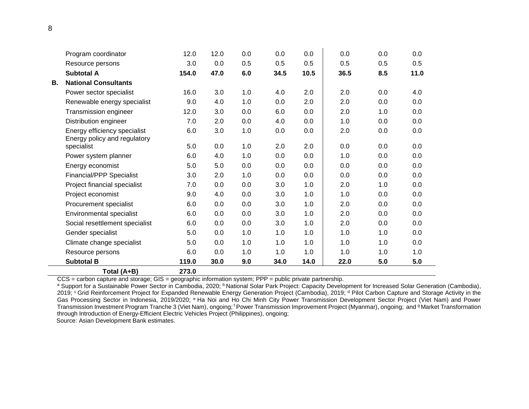|    | Climate change specialist<br>Resource persons        | 5.0<br>6.0  | 0.0<br>0.0 | 1.0        | 1.0<br>1.0 | 1.0        | 1.0        | 1.0        | 1.0        |
|----|------------------------------------------------------|-------------|------------|------------|------------|------------|------------|------------|------------|
|    | Gender specialist                                    | 5.0         | 0.0        | 1.0<br>1.0 | 1.0        | 1.0<br>1.0 | 1.0<br>1.0 | 1.0<br>1.0 | 0.0<br>0.0 |
|    | Social resettlement specialist                       | 6.0         | 0.0        | 0.0        | 3.0        | 1.0        | 2.0        | 0.0        | 0.0        |
|    | <b>Environmental specialist</b>                      | 6.0         | 0.0        | 0.0        | 3.0        | 1.0        | 2.0        | 0.0        | 0.0        |
|    | Procurement specialist                               | 6.0         | 0.0        | 0.0        | 3.0        | 1.0        | 2.0        | 0.0        | 0.0        |
|    | Project economist                                    | 9.0         | 4.0        | 0.0        | 3.0        | 1.0        | 1.0        | 0.0        | 0.0        |
|    | Project financial specialist                         | 7.0         | 0.0        | 0.0        | 3.0        | 1.0        | 2.0        | 1.0        | 0.0        |
|    | <b>Financial/PPP Specialist</b>                      | 3.0         | 2.0        | 1.0        | 0.0        | 0.0        | 0.0        | 0.0        | 0.0        |
|    | Energy economist                                     | 5.0         | 5.0        | 0.0        | 0.0        | 0.0        | 0.0        | 0.0        | 0.0        |
|    | Power system planner                                 | 6.0         | 4.0        | 1.0        | 0.0        | 0.0        | 1.0        | 0.0        | 0.0        |
|    | Energy policy and regulatory<br>specialist           | 5.0         | 0.0        | 1.0        | 2.0        | 2.0        | 0.0        | 0.0        | 0.0        |
|    | Energy efficiency specialist                         | 6.0         | 3.0        | 1.0        | 0.0        | 0.0        | 2.0        | 0.0        | 0.0        |
|    | Distribution engineer                                | 7.0         | 2.0        | 0.0        | 4.0        | 0.0        | 1.0        | 0.0        | 0.0        |
|    | Renewable energy specialist<br>Transmission engineer | 9.0<br>12.0 | 4.0<br>3.0 | 1.0<br>0.0 | 0.0<br>6.0 | 2.0<br>0.0 | 2.0<br>2.0 | 0.0<br>1.0 | 0.0<br>0.0 |
|    | Power sector specialist                              | 16.0        | 3.0        | 1.0        | 4.0        | 2.0        | 2.0        | 0.0        | 4.0        |
| В. | <b>National Consultants</b>                          |             |            |            |            |            |            |            |            |
|    | <b>Subtotal A</b>                                    | 154.0       | 47.0       | 6.0        | 34.5       | 10.5       | 36.5       | 8.5        | 11.0       |
|    | Resource persons                                     | 3.0         | 0.0        | 0.5        | 0.5        | 0.5        | 0.5        | 0.5        | 0.5        |
|    | Program coordinator                                  | 12.0        | 12.0       | 0.0        | 0.0        | 0.0        | 0.0        | 0.0        | 0.0        |
|    |                                                      |             |            |            |            |            |            |            |            |

CCS = carbon capture and storage; GIS = geographic information system; PPP = public private partnership.

a Support for a Sustainable Power Sector in Cambodia, 2020; <sup>b</sup> National Solar Park Project: Capacity Development for Increased Solar Generation (Cambodia), 2019; CGrid Reinforcement Project for Expanded Renewable Energy Generation Project (Cambodia), 2019; d Pilot Carbon Capture and Storage Activity in the Gas Processing Sector in Indonesia, 2019/2020; <sup>e</sup> Ha Noi and Ho Chi Minh City Power Transmission Development Sector Project (Viet Nam) and Power Transmission Investment Program Tranche 3 (Viet Nam), ongoing; <sup>f</sup> Power Transmission Improvement Project (Myanmar), ongoing; and <sup>g</sup> Market Transformation through Introduction of Energy-Efficient Electric Vehicles Project (Philippines), ongoing;

Source: Asian Development Bank estimates.